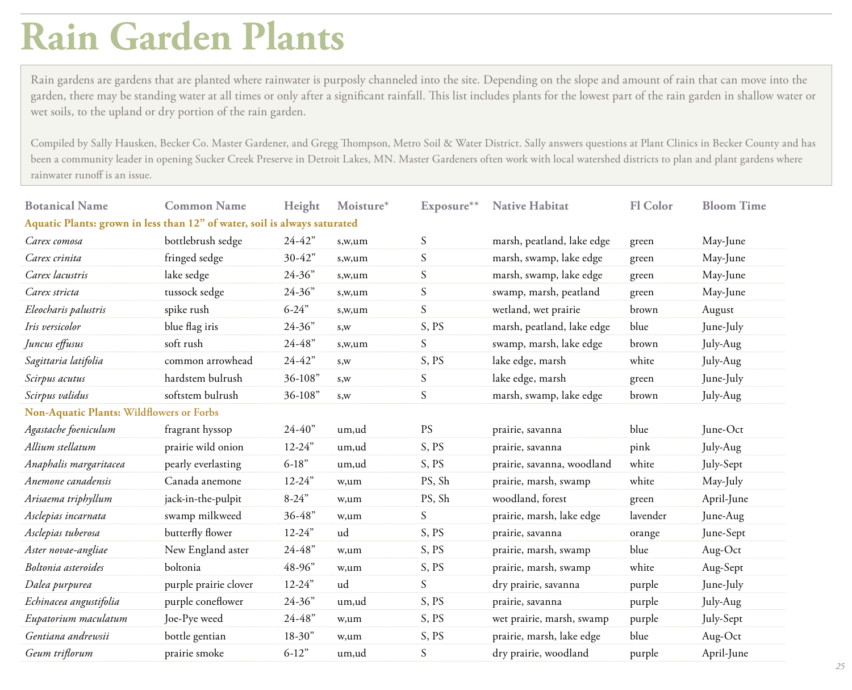## **Rain Garden Plants**

Rain gardens are gardens that are planted where rainwater is purposly channeled into the site. Depending on the slope and amount of rain that can move into the garden, there may be standing water at all times or only after a significant rainfall. This list includes plants for the lowest part of the rain garden in shallow water or wet soils, to the upland or dry portion of the rain garden.

Compiled by Sally Hausken, Becker Co. Master Gardener, and Gregg Thompson, Metro Soil & Water District. Sally answers questions at Plant Clinics in Becker County and has been a community leader in opening Sucker Creek Preserve in Detroit Lakes, MN. Master Gardeners often work with local watershed districts to plan and plant gardens where rainwater runoff is an issue.

| <b>Botanical Name</b>                                                     | <b>Common Name</b>    | Height     | Moisture* | Exposure**      | <b>Native Habitat</b>      | <b>Fl</b> Color | <b>Bloom Time</b> |  |  |
|---------------------------------------------------------------------------|-----------------------|------------|-----------|-----------------|----------------------------|-----------------|-------------------|--|--|
| Aquatic Plants: grown in less than 12" of water, soil is always saturated |                       |            |           |                 |                            |                 |                   |  |  |
| Carex comosa                                                              | bottlebrush sedge     | $24 - 42"$ | s,w,um    | S               | marsh, peatland, lake edge | green           | May-June          |  |  |
| Carex crinita                                                             | fringed sedge         | $30 - 42"$ | s,w,um    | S               | marsh, swamp, lake edge    | green           | May-June          |  |  |
| Carex lacustris                                                           | lake sedge            | 24-36"     | s,w,um    | $S_{\parallel}$ | marsh, swamp, lake edge    | green           | May-June          |  |  |
| Carex stricta                                                             | tussock sedge         | $24 - 36"$ | s,w,um    | $\mathcal{S}$   | swamp, marsh, peatland     | green           | May-June          |  |  |
| Eleocharis palustris                                                      | spike rush            | $6 - 24"$  | s,w,um    | S               | wetland, wet prairie       | brown           | August            |  |  |
| Iris versicolor                                                           | blue flag iris        | $24 - 36"$ | S,W       | S, PS           | marsh, peatland, lake edge | blue            | June-July         |  |  |
| Juncus effusus                                                            | soft rush             | $24 - 48"$ | s,w,um    | S               | swamp, marsh, lake edge    | brown           | July-Aug          |  |  |
| Sagittaria latifolia                                                      | common arrowhead      | $24 - 42"$ | S,W       | S, PS           | lake edge, marsh           | white           | July-Aug          |  |  |
| Scirpus acutus                                                            | hardstem bulrush      | 36-108"    | S,W       | S               | lake edge, marsh           | green           | June-July         |  |  |
| Scirpus validus                                                           | softstem bulrush      | 36-108"    | S,W       | S               | marsh, swamp, lake edge    | brown           | July-Aug          |  |  |
| <b>Non-Aquatic Plants: Wildflowers or Forbs</b>                           |                       |            |           |                 |                            |                 |                   |  |  |
| Agastache foeniculum                                                      | fragrant hyssop       | $24 - 40"$ | um,ud     | <b>PS</b>       | prairie, savanna           | blue            | June-Oct          |  |  |
| Allium stellatum                                                          | prairie wild onion    | $12 - 24"$ | um,ud     | S, PS           | prairie, savanna           | pink            | July-Aug          |  |  |
| Anaphalis margaritacea                                                    | pearly everlasting    | $6-18"$    | um,ud     | S, PS           | prairie, savanna, woodland | white           | July-Sept         |  |  |
| Anemone canadensis                                                        | Canada anemone        | $12 - 24"$ | w,um      | PS, Sh          | prairie, marsh, swamp      | white           | May-July          |  |  |
| Arisaema triphyllum                                                       | jack-in-the-pulpit    | $8 - 24"$  | w,um      | PS, Sh          | woodland, forest           | green           | April-June        |  |  |
| Asclepias incarnata                                                       | swamp milkweed        | $36 - 48"$ | w,um      | S               | prairie, marsh, lake edge  | lavender        | June-Aug          |  |  |
| Asclepias tuberosa                                                        | butterfly flower      | $12 - 24"$ | ud        | S, PS           | prairie, savanna           | orange          | June-Sept         |  |  |
| Aster novae-angliae                                                       | New England aster     | $24 - 48"$ | w,um      | S, PS           | prairie, marsh, swamp      | blue            | Aug-Oct           |  |  |
| Boltonia asteroides                                                       | boltonia              | 48-96"     | w,um      | S, PS           | prairie, marsh, swamp      | white           | Aug-Sept          |  |  |
| Dalea purpurea                                                            | purple prairie clover | $12 - 24"$ | ud        | $\mathcal{S}$   | dry prairie, savanna       | purple          | June-July         |  |  |
| Echinacea angustifolia                                                    | purple coneflower     | $24 - 36"$ | um,ud     | S, PS           | prairie, savanna           | purple          | July-Aug          |  |  |
| Eupatorium maculatum                                                      | Joe-Pye weed          | $24 - 48"$ | w,um      | S, PS           | wet prairie, marsh, swamp  | purple          | July-Sept         |  |  |
| Gentiana andrewsii                                                        | bottle gentian        | $18 - 30"$ | w,um      | S, PS           | prairie, marsh, lake edge  | blue            | Aug-Oct           |  |  |
| Geum triflorum                                                            | prairie smoke         | $6-12"$    | um,ud     | S               | dry prairie, woodland      | purple          | April-June        |  |  |
|                                                                           |                       |            |           |                 |                            |                 |                   |  |  |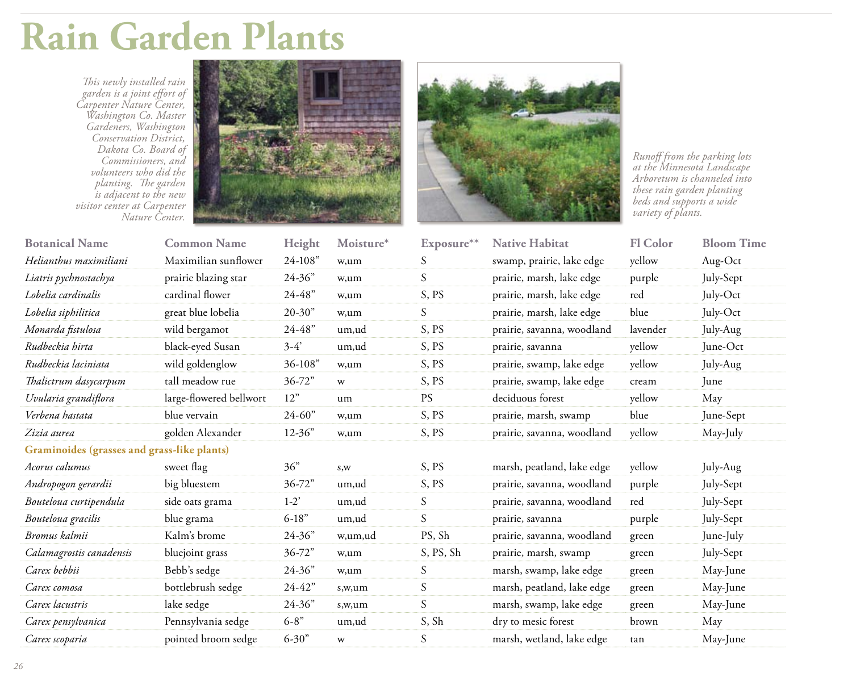## **Rain Garden Plants**

*This newly installed rain garden is a joint effort of Carpenter Nature Center, Washington Co. Master Gardeners, Washington Conservation District, Dakota Co. Board of Commissioners, and volunteers who did the planting. The garden is adjacent to the new visitor center at Carpenter Nature Center.*





*Runoff from the parking lots at the Minnesota Landscape Arboretum is channeled into these rain garden planting beds and supports a wide variety of plants.*

| <b>Botanical Name</b>                       | <b>Common Name</b>      | Height             | Moisture* | Exposure**       | <b>Native Habitat</b>      | <b>Fl Color</b> | <b>Bloom Time</b> |
|---------------------------------------------|-------------------------|--------------------|-----------|------------------|----------------------------|-----------------|-------------------|
| Helianthus maximiliani                      | Maximilian sunflower    | 24-108"            | w,um      | S                | swamp, prairie, lake edge  | yellow          | Aug-Oct           |
| Liatris pychnostachya                       | prairie blazing star    | $24 - 36"$         | w,um      | $\boldsymbol{S}$ | prairie, marsh, lake edge  | purple          | July-Sept         |
| Lobelia cardinalis                          | cardinal flower         | $24 - 48"$         | w,um      | S, PS            | prairie, marsh, lake edge  | red             | July-Oct          |
| Lobelia siphilitica                         | great blue lobelia      | $20 - 30"$         | w,um      | S                | prairie, marsh, lake edge  | blue            | July-Oct          |
| Monarda fistulosa                           | wild bergamot           | $24 - 48"$         | um,ud     | S, PS            | prairie, savanna, woodland | lavender        | July-Aug          |
| Rudbeckia hirta                             | black-eyed Susan        | $3-4'$             | um,ud     | S, PS            | prairie, savanna           | yellow          | June-Oct          |
| Rudbeckia laciniata                         | wild goldenglow         | 36-108"            | w,um      | S, PS            | prairie, swamp, lake edge  | yellow          | July-Aug          |
| Thalictrum dasycarpum                       | tall meadow rue         | $36 - 72"$         | W         | S, PS            | prairie, swamp, lake edge  | cream           | June              |
| Uvularia grandiflora                        | large-flowered bellwort | 12"                | um        | <b>PS</b>        | deciduous forest           | yellow          | May               |
| Verbena hastata                             | blue vervain            | $24 - 60"$         | w,um      | S, PS            | prairie, marsh, swamp      | blue            | June-Sept         |
| Zizia aurea                                 | golden Alexander        | $12 - 36"$         | w,um      | S, PS            | prairie, savanna, woodland | yellow          | May-July          |
| Graminoides (grasses and grass-like plants) |                         |                    |           |                  |                            |                 |                   |
| Acorus calumus                              | sweet flag              | 36"                | s,w       | S, PS            | marsh, peatland, lake edge | yellow          | July-Aug          |
| Andropogon gerardii                         | big bluestem            | $36 - 72"$         | um,ud     | S, PS            | prairie, savanna, woodland | purple          | July-Sept         |
| Bouteloua curtipendula                      | side oats grama         | $1-2$ <sup>'</sup> | um,ud     | S                | prairie, savanna, woodland | red             | July-Sept         |
| Bouteloua gracilis                          | blue grama              | $6-18"$            | um,ud     | S                | prairie, savanna           | purple          | July-Sept         |
| Bromus kalmii                               | Kalm's brome            | $24 - 36"$         | w,um,ud   | PS, Sh           | prairie, savanna, woodland | green           | June-July         |
| Calamagrostis canadensis                    | bluejoint grass         | $36 - 72"$         | w,um      | S, PS, Sh        | prairie, marsh, swamp      | green           | July-Sept         |
| Carex bebbii                                | Bebb's sedge            | $24 - 36"$         | w,um      | S                | marsh, swamp, lake edge    | green           | May-June          |
| Carex comosa                                | bottlebrush sedge       | $24 - 42"$         | s,w,um    | S                | marsh, peatland, lake edge | green           | May-June          |
| Carex lacustris                             | lake sedge              | $24 - 36"$         | s,w,um    | S                | marsh, swamp, lake edge    | green           | May-June          |
| Carex pensylvanica                          | Pennsylvania sedge      | $6 - 8"$           | um,ud     | S, Sh            | dry to mesic forest        | brown           | May               |
| Carex scoparia                              | pointed broom sedge     | $6 - 30"$          | W         | S                | marsh, wetland, lake edge  | tan             | May-June          |